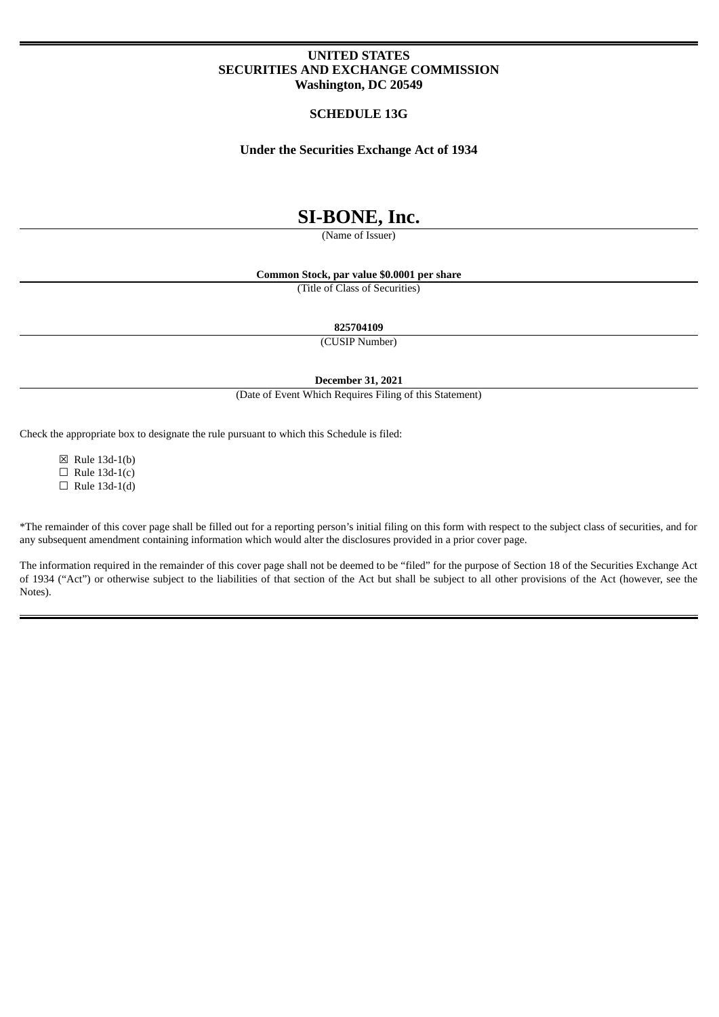## **UNITED STATES SECURITIES AND EXCHANGE COMMISSION Washington, DC 20549**

## **SCHEDULE 13G**

## **Under the Securities Exchange Act of 1934**

# **SI-BONE, Inc.**

(Name of Issuer)

**Common Stock, par value \$0.0001 per share**

(Title of Class of Securities)

**825704109**

(CUSIP Number)

**December 31, 2021**

(Date of Event Which Requires Filing of this Statement)

Check the appropriate box to designate the rule pursuant to which this Schedule is filed:

☒ Rule 13d-1(b)  $\Box$  Rule 13d-1(c)  $\Box$  Rule 13d-1(d)

\*The remainder of this cover page shall be filled out for a reporting person's initial filing on this form with respect to the subject class of securities, and for any subsequent amendment containing information which would alter the disclosures provided in a prior cover page.

The information required in the remainder of this cover page shall not be deemed to be "filed" for the purpose of Section 18 of the Securities Exchange Act of 1934 ("Act") or otherwise subject to the liabilities of that section of the Act but shall be subject to all other provisions of the Act (however, see the Notes).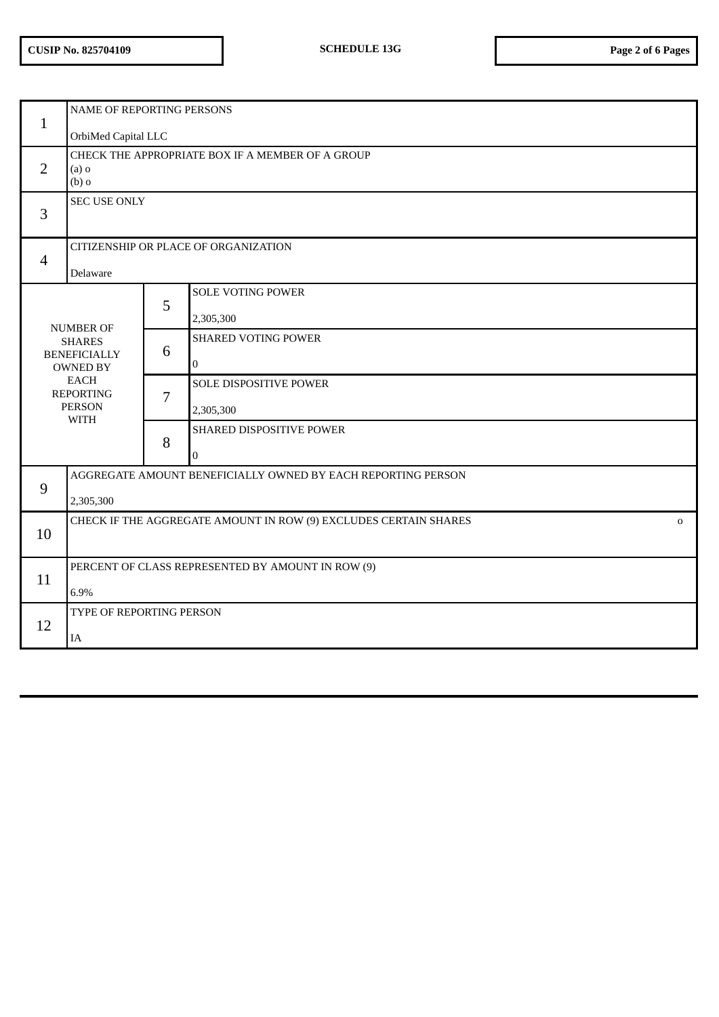| $\mathbf{1}$                                                                                                                                   | NAME OF REPORTING PERSONS                                                        |   |                            |  |
|------------------------------------------------------------------------------------------------------------------------------------------------|----------------------------------------------------------------------------------|---|----------------------------|--|
|                                                                                                                                                | OrbiMed Capital LLC                                                              |   |                            |  |
| $\overline{2}$                                                                                                                                 | CHECK THE APPROPRIATE BOX IF A MEMBER OF A GROUP<br>$(a)$ o<br>$(b)$ o           |   |                            |  |
| 3                                                                                                                                              | SEC USE ONLY                                                                     |   |                            |  |
|                                                                                                                                                | CITIZENSHIP OR PLACE OF ORGANIZATION                                             |   |                            |  |
| $\overline{4}$                                                                                                                                 | Delaware                                                                         |   |                            |  |
|                                                                                                                                                |                                                                                  | 5 | <b>SOLE VOTING POWER</b>   |  |
|                                                                                                                                                |                                                                                  |   | 2,305,300                  |  |
| <b>NUMBER OF</b><br><b>SHARES</b><br><b>BENEFICIALLY</b><br><b>OWNED BY</b><br><b>EACH</b><br><b>REPORTING</b><br><b>PERSON</b><br><b>WITH</b> |                                                                                  | 6 | <b>SHARED VOTING POWER</b> |  |
|                                                                                                                                                |                                                                                  |   | $\mathbf 0$                |  |
|                                                                                                                                                |                                                                                  | 7 | SOLE DISPOSITIVE POWER     |  |
|                                                                                                                                                |                                                                                  |   | 2,305,300                  |  |
|                                                                                                                                                |                                                                                  | 8 | SHARED DISPOSITIVE POWER   |  |
|                                                                                                                                                |                                                                                  |   | $\boldsymbol{0}$           |  |
| 9                                                                                                                                              | AGGREGATE AMOUNT BENEFICIALLY OWNED BY EACH REPORTING PERSON                     |   |                            |  |
|                                                                                                                                                | 2,305,300                                                                        |   |                            |  |
| 10                                                                                                                                             | CHECK IF THE AGGREGATE AMOUNT IN ROW (9) EXCLUDES CERTAIN SHARES<br>$\mathbf{O}$ |   |                            |  |
|                                                                                                                                                |                                                                                  |   |                            |  |
| 11                                                                                                                                             | PERCENT OF CLASS REPRESENTED BY AMOUNT IN ROW (9)                                |   |                            |  |
|                                                                                                                                                | 6.9%                                                                             |   |                            |  |
| 12                                                                                                                                             | TYPE OF REPORTING PERSON                                                         |   |                            |  |
|                                                                                                                                                | IA                                                                               |   |                            |  |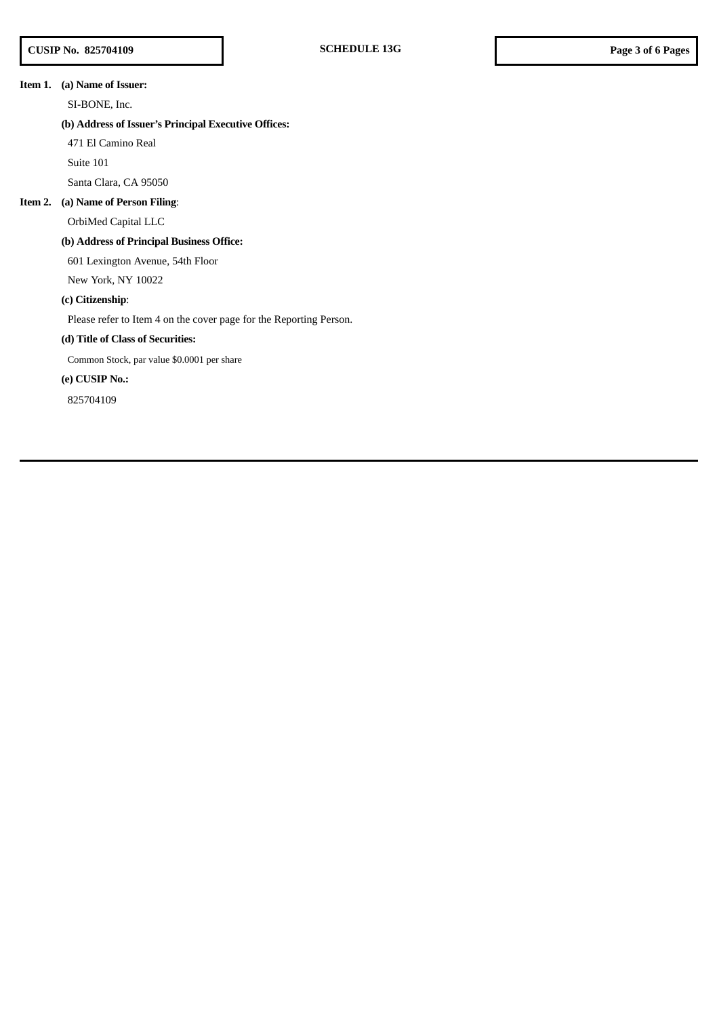## **Item 1. (a) Name of Issuer:**

SI-BONE, Inc.

## **(b) Address of Issuer's Principal Executive Offices:**

471 El Camino Real

Suite 101

Santa Clara, CA 95050

#### **Item 2. (a) Name of Person Filing**:

OrbiMed Capital LLC

## **(b) Address of Principal Business Office:**

601 Lexington Avenue, 54th Floor

New York, NY 10022

## **(c) Citizenship**:

Please refer to Item 4 on the cover page for the Reporting Person.

## **(d) Title of Class of Securities:**

Common Stock, par value \$0.0001 per share

## **(e) CUSIP No.:**

825704109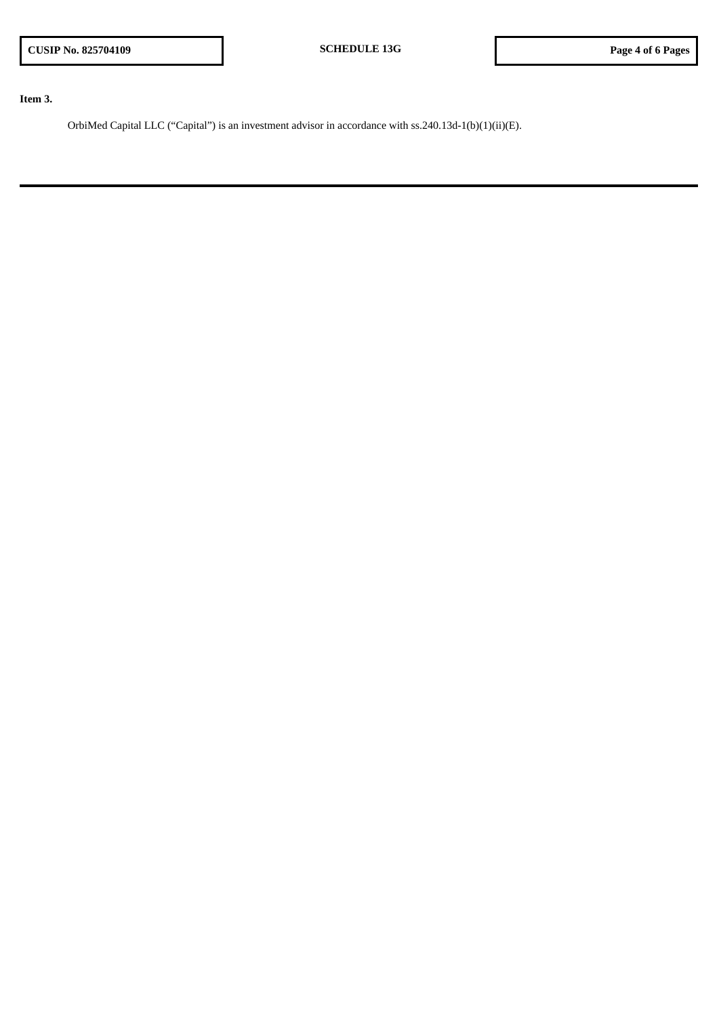**Item 3.**

OrbiMed Capital LLC ("Capital") is an investment advisor in accordance with ss.240.13d-1(b)(1)(ii)(E).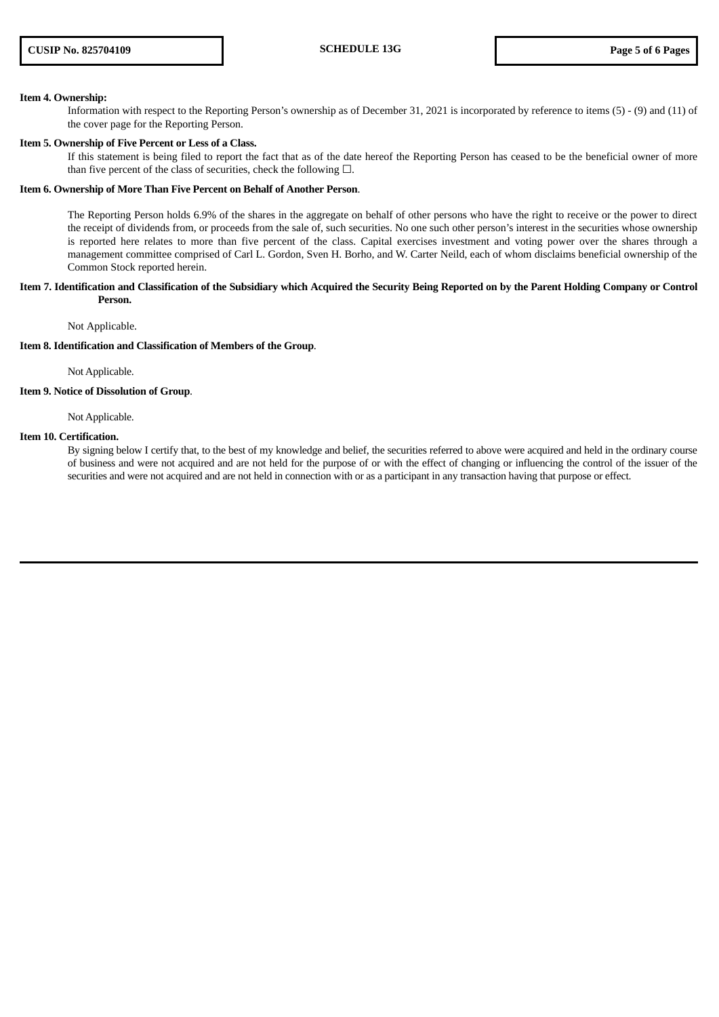#### **Item 4. Ownership:**

Information with respect to the Reporting Person's ownership as of December 31, 2021 is incorporated by reference to items (5) - (9) and (11) of the cover page for the Reporting Person.

#### **Item 5. Ownership of Five Percent or Less of a Class.**

If this statement is being filed to report the fact that as of the date hereof the Reporting Person has ceased to be the beneficial owner of more than five percent of the class of securities, check the following  $\Box$ .

#### **Item 6. Ownership of More Than Five Percent on Behalf of Another Person**.

The Reporting Person holds 6.9% of the shares in the aggregate on behalf of other persons who have the right to receive or the power to direct the receipt of dividends from, or proceeds from the sale of, such securities. No one such other person's interest in the securities whose ownership is reported here relates to more than five percent of the class. Capital exercises investment and voting power over the shares through a management committee comprised of Carl L. Gordon, Sven H. Borho, and W. Carter Neild, each of whom disclaims beneficial ownership of the Common Stock reported herein.

#### Item 7. Identification and Classification of the Subsidiary which Acquired the Security Being Reported on by the Parent Holding Company or Control **Person.**

Not Applicable.

#### **Item 8. Identification and Classification of Members of the Group**.

Not Applicable.

#### **Item 9. Notice of Dissolution of Group**.

Not Applicable.

#### **Item 10. Certification.**

By signing below I certify that, to the best of my knowledge and belief, the securities referred to above were acquired and held in the ordinary course of business and were not acquired and are not held for the purpose of or with the effect of changing or influencing the control of the issuer of the securities and were not acquired and are not held in connection with or as a participant in any transaction having that purpose or effect.